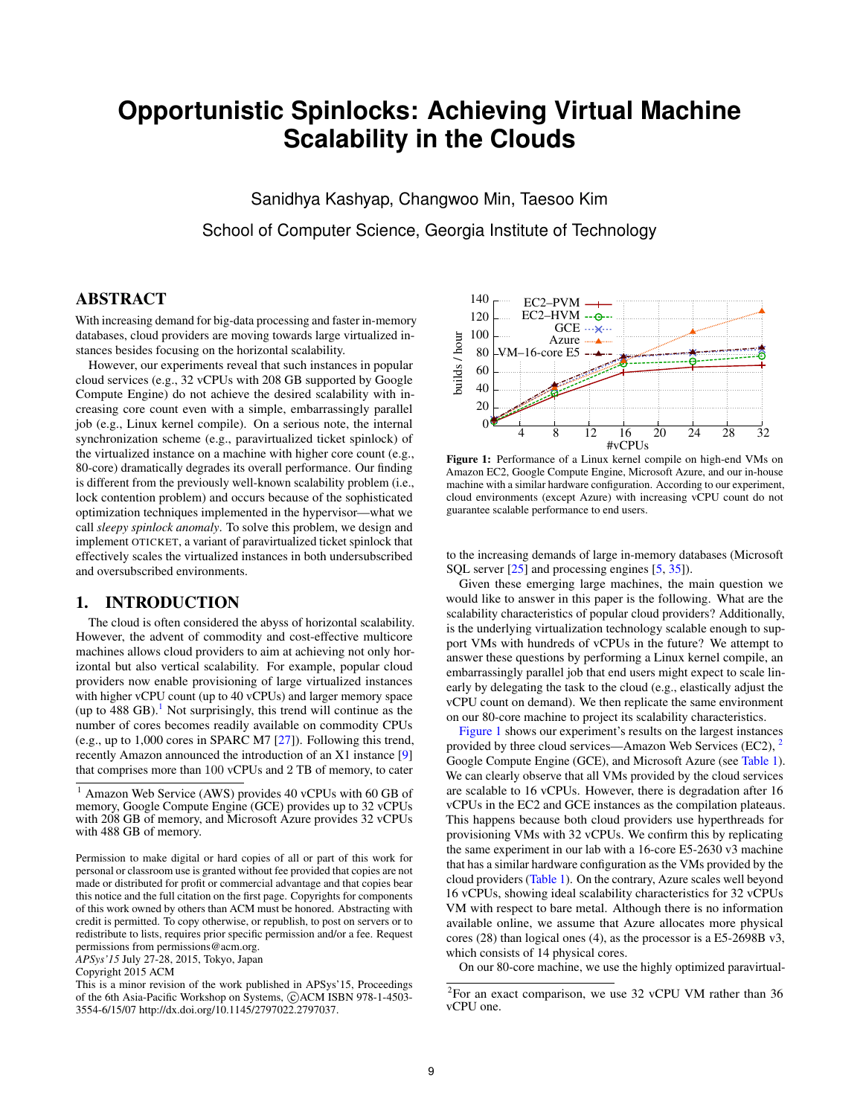# **Opportunistic Spinlocks: Achieving Virtual Machine Scalability in the Clouds**

Sanidhya Kashyap, Changwoo Min, Taesoo Kim School of Computer Science, Georgia Institute of Technology

# ABSTRACT

With increasing demand for big-data processing and faster in-memory databases, cloud providers are moving towards large virtualized instances besides focusing on the horizontal scalability.

However, our experiments reveal that such instances in popular cloud services (e.g., 32 vCPUs with 208 GB supported by Google Compute Engine) do not achieve the desired scalability with increasing core count even with a simple, embarrassingly parallel job (e.g., Linux kernel compile). On a serious note, the internal synchronization scheme (e.g., paravirtualized ticket spinlock) of the virtualized instance on a machine with higher core count (e.g., 80-core) dramatically degrades its overall performance. Our finding is different from the previously well-known scalability problem (i.e., lock contention problem) and occurs because of the sophisticated optimization techniques implemented in the hypervisor—what we call *sleepy spinlock anomaly*. To solve this problem, we design and implement OTICKET, a variant of paravirtualized ticket spinlock that effectively scales the virtualized instances in both undersubscribed and oversubscribed environments.

## 1. INTRODUCTION

The cloud is often considered the abyss of horizontal scalability. However, the advent of commodity and cost-effective multicore machines allows cloud providers to aim at achieving not only horizontal but also vertical scalability. For example, popular cloud providers now enable provisioning of large virtualized instances with higher vCPU count (up to 40 vCPUs) and larger memory space (up to 488 GB).<sup>1</sup> Not surprisingly, this trend will continue as the number of cores becomes readily available on commodity CPUs (e.g., up to 1,000 cores in SPARC M7 [27]). Following this trend, recently Amazon announced the introduction of an X1 instance [9] that comprises more than 100 vCPUs and 2 TB of memory, to cater

*APSys'15* July 27-28, 2015, Tokyo, Japan



Figure 1: Performance of a Linux kernel compile on high-end VMs on Amazon EC2, Google Compute Engine, Microsoft Azure, and our in-house machine with a similar hardware configuration. According to our experiment, cloud environments (except Azure) with increasing vCPU count do not guarantee scalable performance to end users.

to the increasing demands of large in-memory databases (Microsoft SQL server [25] and processing engines [5, 35]).

Given these emerging large machines, the main question we would like to answer in this paper is the following. What are the scalability characteristics of popular cloud providers? Additionally, is the underlying virtualization technology scalable enough to support VMs with hundreds of vCPUs in the future? We attempt to answer these questions by performing a Linux kernel compile, an embarrassingly parallel job that end users might expect to scale linearly by delegating the task to the cloud (e.g., elastically adjust the vCPU count on demand). We then replicate the same environment on our 80-core machine to project its scalability characteristics.

Figure 1 shows our experiment's results on the largest instances provided by three cloud services—Amazon Web Services (EC2), 2 Google Compute Engine (GCE), and Microsoft Azure (see Table 1). We can clearly observe that all VMs provided by the cloud services are scalable to 16 vCPUs. However, there is degradation after 16 vCPUs in the EC2 and GCE instances as the compilation plateaus. This happens because both cloud providers use hyperthreads for provisioning VMs with 32 vCPUs. We confirm this by replicating the same experiment in our lab with a 16-core E5-2630 v3 machine that has a similar hardware configuration as the VMs provided by the cloud providers (Table 1). On the contrary, Azure scales well beyond 16 vCPUs, showing ideal scalability characteristics for 32 vCPUs VM with respect to bare metal. Although there is no information available online, we assume that Azure allocates more physical cores (28) than logical ones (4), as the processor is a E5-2698B v3, which consists of 14 physical cores.

On our 80-core machine, we use the highly optimized paravirtual-

<sup>1</sup> Amazon Web Service (AWS) provides 40 vCPUs with 60 GB of memory, Google Compute Engine (GCE) provides up to 32 vCPUs with 208 GB of memory, and Microsoft Azure provides 32 vCPUs with 488 GB of memory.

Permission to make digital or hard copies of all or part of this work for personal or classroom use is granted without fee provided that copies are not made or distributed for profit or commercial advantage and that copies bear this notice and the full citation on the first page. Copyrights for components of this work owned by others than ACM must be honored. Abstracting with credit is permitted. To copy otherwise, or republish, to post on servers or to redistribute to lists, requires prior specific permission and/or a fee. Request permissions from permissions@acm.org.

Copyright 2015 ACM

This is a minor revision of the work published in APSys'15, Proceedings of the 6th Asia-Pacific Workshop on Systems, ©ACM ISBN 978-1-4503-3554-6/15/07 http://dx.doi.org/10.1145/2797022.2797037.

<sup>&</sup>lt;sup>2</sup>For an exact comparison, we use 32 vCPU VM rather than 36 vCPU one.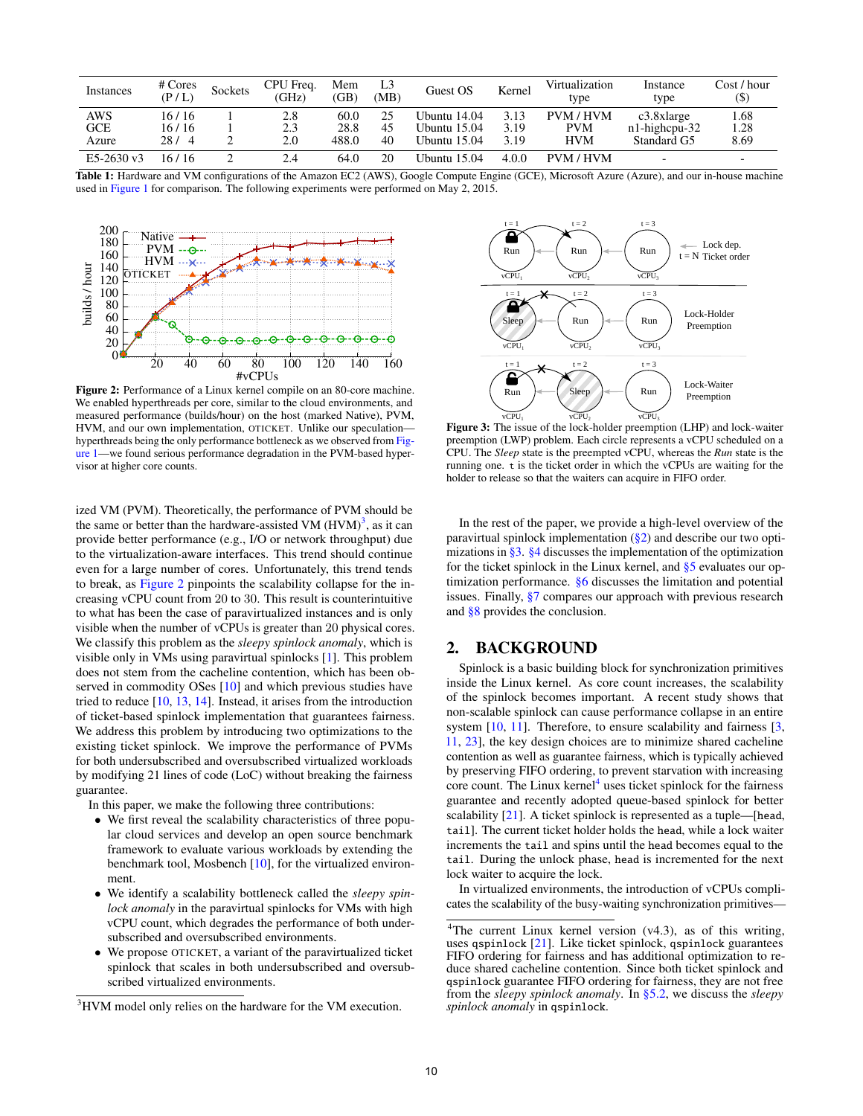| Instances                         | # Cores<br>(P/L)            | Sockets | CPU Freq.<br>(GHz) | Mem<br>(GB)           | L3<br>(MB) | Guest OS                                     | Kernel               | Virtualization<br>type                | Instance<br>type                                 | Cost / hour<br>(\$) |
|-----------------------------------|-----------------------------|---------|--------------------|-----------------------|------------|----------------------------------------------|----------------------|---------------------------------------|--------------------------------------------------|---------------------|
| <b>AWS</b><br><b>GCE</b><br>Azure | 16 / 16<br>16 / 16<br>28/ 4 |         | 2.8<br>2.3<br>2.0  | 60.0<br>28.8<br>488.0 | 45<br>40   | Ubuntu 14.04<br>Ubuntu 15.04<br>Ubuntu 15.04 | 3.13<br>3.19<br>3.19 | PVM / HVM<br><b>PVM</b><br><b>HVM</b> | $c3.8x$ large<br>$n1$ -highcpu-32<br>Standard G5 | .68<br>1.28<br>8.69 |
| E5-2630 v3                        | 16 / 16                     |         | 2.4                | 64.0                  | 20         | Ubuntu 15.04                                 | 4.0.0                | <b>PVM/HVM</b>                        | $\overline{\phantom{0}}$                         |                     |

Table 1: Hardware and VM configurations of the Amazon EC2 (AWS), Google Compute Engine (GCE), Microsoft Azure (Azure), and our in-house machine used in Figure 1 for comparison. The following experiments were performed on May 2, 2015.



Figure 2: Performance of a Linux kernel compile on an 80-core machine. We enabled hyperthreads per core, similar to the cloud environments, and measured performance (builds/hour) on the host (marked Native), PVM, HVM, and our own implementation, OTICKET. Unlike our speculation hyperthreads being the only performance bottleneck as we observed from Figure 1—we found serious performance degradation in the PVM-based hypervisor at higher core counts.

ized VM (PVM). Theoretically, the performance of PVM should be the same or better than the hardware-assisted VM  $(HVM)^3$ , as it can provide better performance (e.g., I/O or network throughput) due to the virtualization-aware interfaces. This trend should continue even for a large number of cores. Unfortunately, this trend tends to break, as Figure 2 pinpoints the scalability collapse for the increasing vCPU count from 20 to 30. This result is counterintuitive to what has been the case of paravirtualized instances and is only visible when the number of vCPUs is greater than 20 physical cores. We classify this problem as the *sleepy spinlock anomaly*, which is visible only in VMs using paravirtual spinlocks [1]. This problem does not stem from the cacheline contention, which has been observed in commodity OSes [10] and which previous studies have tried to reduce [10, 13, 14]. Instead, it arises from the introduction of ticket-based spinlock implementation that guarantees fairness. We address this problem by introducing two optimizations to the existing ticket spinlock. We improve the performance of PVMs for both undersubscribed and oversubscribed virtualized workloads by modifying 21 lines of code (LoC) without breaking the fairness guarantee.

In this paper, we make the following three contributions:

- We first reveal the scalability characteristics of three popular cloud services and develop an open source benchmark framework to evaluate various workloads by extending the benchmark tool, Mosbench [10], for the virtualized environment.
- We identify a scalability bottleneck called the *sleepy spinlock anomaly* in the paravirtual spinlocks for VMs with high vCPU count, which degrades the performance of both undersubscribed and oversubscribed environments.
- We propose OTICKET, a variant of the paravirtualized ticket spinlock that scales in both undersubscribed and oversubscribed virtualized environments.



vCPU<sub>1</sub> vCPU<sub>2</sub> vCPU<sub>3</sub> vCPU<sub>3</sub> vCPU<sub>3</sub> vCPU<sub>3</sub> **Figure 3:** The issue of the lock-holder preemption (LHP) and lock-waiter preemption (LWP) problem. Each circle represents a vCPU scheduled on a CPU. The *Sleep* state is the preempted vCPU, whereas the *Run* state is the running one. t is the ticket order in which the vCPUs are waiting for the holder to release so that the waiters can acquire in FIFO order.

In the rest of the paper, we provide a high-level overview of the paravirtual spinlock implementation  $(\frac{8}{2})$  and describe our two optimizations in §3. §4 discusses the implementation of the optimization for the ticket spinlock in the Linux kernel, and §5 evaluates our optimization performance. §6 discusses the limitation and potential issues. Finally, §7 compares our approach with previous research and §8 provides the conclusion.

## 2. BACKGROUND

Spinlock is a basic building block for synchronization primitives inside the Linux kernel. As core count increases, the scalability of the spinlock becomes important. A recent study shows that non-scalable spinlock can cause performance collapse in an entire system [10, 11]. Therefore, to ensure scalability and fairness [3, 11, 23], the key design choices are to minimize shared cacheline contention as well as guarantee fairness, which is typically achieved by preserving FIFO ordering, to prevent starvation with increasing core count. The Linux kernel<sup>4</sup> uses ticket spinlock for the fairness guarantee and recently adopted queue-based spinlock for better scalability [21]. A ticket spinlock is represented as a tuple—[head, tail]. The current ticket holder holds the head, while a lock waiter increments the tail and spins until the head becomes equal to the tail. During the unlock phase, head is incremented for the next lock waiter to acquire the lock.

In virtualized environments, the introduction of vCPUs complicates the scalability of the busy-waiting synchronization primitives—

<sup>&</sup>lt;sup>3</sup>HVM model only relies on the hardware for the VM execution.

<sup>&</sup>lt;sup>4</sup>The current Linux kernel version (v4.3), as of this writing, uses qspinlock [21]. Like ticket spinlock, qspinlock guarantees FIFO ordering for fairness and has additional optimization to reduce shared cacheline contention. Since both ticket spinlock and qspinlock guarantee FIFO ordering for fairness, they are not free from the *sleepy spinlock anomaly*. In §5.2, we discuss the *sleepy spinlock anomaly* in qspinlock.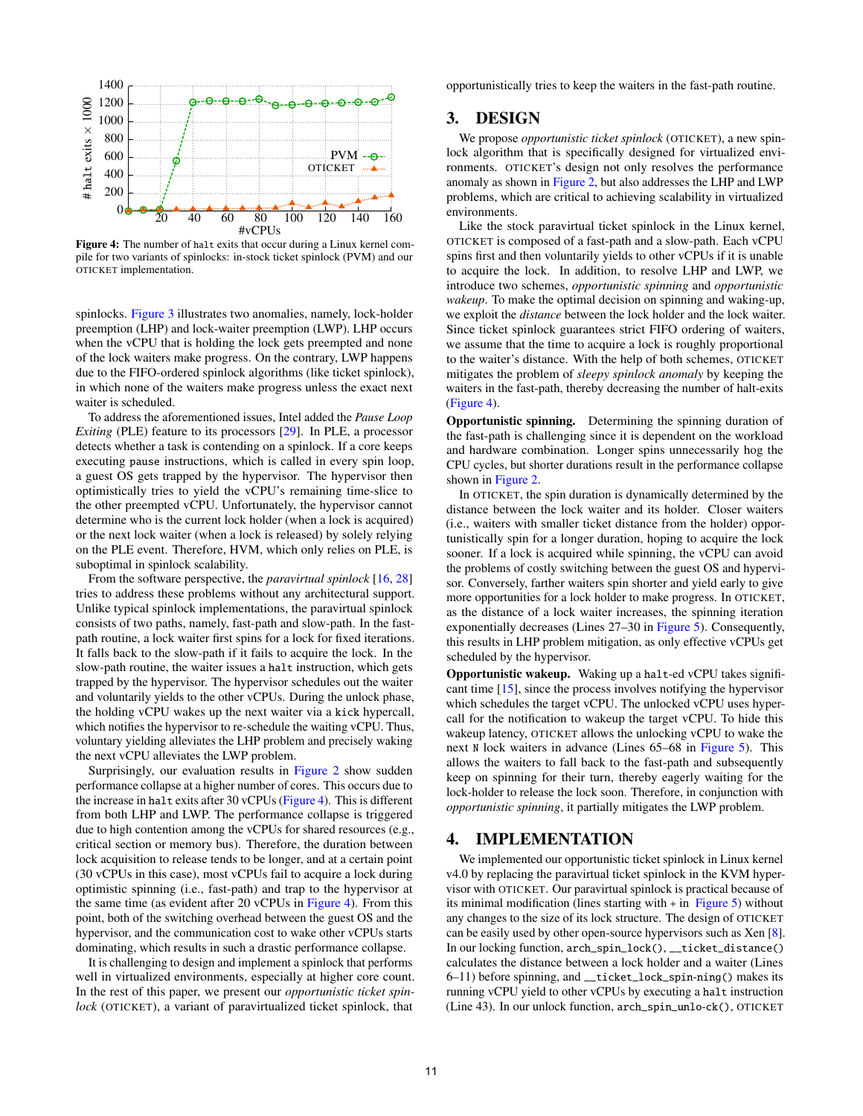

Figure 4: The number of halt exits that occur during a Linux kernel compile for two variants of spinlocks: in-stock ticket spinlock (PVM) and our OTICKET implementation.

spinlocks. Figure 3 illustrates two anomalies, namely, lock-holder preemption (LHP) and lock-waiter preemption (LWP). LHP occurs when the vCPU that is holding the lock gets preempted and none of the lock waiters make progress. On the contrary, LWP happens due to the FIFO-ordered spinlock algorithms (like ticket spinlock), in which none of the waiters make progress unless the exact next waiter is scheduled.

To address the aforementioned issues, Intel added the *Pause Loop Exiting* (PLE) feature to its processors [29]. In PLE, a processor detects whether a task is contending on a spinlock. If a core keeps executing pause instructions, which is called in every spin loop, a guest OS gets trapped by the hypervisor. The hypervisor then optimistically tries to yield the vCPU's remaining time-slice to the other preempted vCPU. Unfortunately, the hypervisor cannot determine who is the current lock holder (when a lock is acquired) or the next lock waiter (when a lock is released) by solely relying on the PLE event. Therefore, HVM, which only relies on PLE, is suboptimal in spinlock scalability.

From the software perspective, the *paravirtual spinlock* [16, 28] tries to address these problems without any architectural support. Unlike typical spinlock implementations, the paravirtual spinlock consists of two paths, namely, fast-path and slow-path. In the fastpath routine, a lock waiter first spins for a lock for fixed iterations. It falls back to the slow-path if it fails to acquire the lock. In the slow-path routine, the waiter issues a halt instruction, which gets trapped by the hypervisor. The hypervisor schedules out the waiter and voluntarily yields to the other vCPUs. During the unlock phase, the holding vCPU wakes up the next waiter via a kick hypercall, which notifies the hypervisor to re-schedule the waiting vCPU. Thus, voluntary yielding alleviates the LHP problem and precisely waking the next vCPU alleviates the LWP problem.

Surprisingly, our evaluation results in Figure 2 show sudden performance collapse at a higher number of cores. This occurs due to the increase in halt exits after 30 vCPUs (Figure 4). This is different from both LHP and LWP. The performance collapse is triggered due to high contention among the vCPUs for shared resources (e.g., critical section or memory bus). Therefore, the duration between lock acquisition to release tends to be longer, and at a certain point (30 vCPUs in this case), most vCPUs fail to acquire a lock during optimistic spinning (i.e., fast-path) and trap to the hypervisor at the same time (as evident after 20 vCPUs in Figure 4). From this point, both of the switching overhead between the guest OS and the hypervisor, and the communication cost to wake other vCPUs starts dominating, which results in such a drastic performance collapse.

It is challenging to design and implement a spinlock that performs well in virtualized environments, especially at higher core count. In the rest of this paper, we present our *opportunistic ticket spinlock* (OTICKET), a variant of paravirtualized ticket spinlock, that opportunistically tries to keep the waiters in the fast-path routine.

#### 3. DESIGN

We propose *opportunistic ticket spinlock* (OTICKET), a new spinlock algorithm that is specifically designed for virtualized environments. OTICKET's design not only resolves the performance anomaly as shown in Figure 2, but also addresses the LHP and LWP problems, which are critical to achieving scalability in virtualized environments.

Like the stock paravirtual ticket spinlock in the Linux kernel, OTICKET is composed of a fast-path and a slow-path. Each vCPU spins first and then voluntarily yields to other vCPUs if it is unable to acquire the lock. In addition, to resolve LHP and LWP, we introduce two schemes, *opportunistic spinning* and *opportunistic wakeup*. To make the optimal decision on spinning and waking-up, we exploit the *distance* between the lock holder and the lock waiter. Since ticket spinlock guarantees strict FIFO ordering of waiters, we assume that the time to acquire a lock is roughly proportional to the waiter's distance. With the help of both schemes, OTICKET mitigates the problem of *sleepy spinlock anomaly* by keeping the waiters in the fast-path, thereby decreasing the number of halt-exits (Figure 4).

Opportunistic spinning. Determining the spinning duration of the fast-path is challenging since it is dependent on the workload and hardware combination. Longer spins unnecessarily hog the CPU cycles, but shorter durations result in the performance collapse shown in Figure 2.

In OTICKET, the spin duration is dynamically determined by the distance between the lock waiter and its holder. Closer waiters (i.e., waiters with smaller ticket distance from the holder) opportunistically spin for a longer duration, hoping to acquire the lock sooner. If a lock is acquired while spinning, the vCPU can avoid the problems of costly switching between the guest OS and hypervisor. Conversely, farther waiters spin shorter and yield early to give more opportunities for a lock holder to make progress. In OTICKET, as the distance of a lock waiter increases, the spinning iteration exponentially decreases (Lines 27–30 in Figure 5). Consequently, this results in LHP problem mitigation, as only effective vCPUs get scheduled by the hypervisor.

Opportunistic wakeup. Waking up a halt-ed vCPU takes significant time [15], since the process involves notifying the hypervisor which schedules the target vCPU. The unlocked vCPU uses hypercall for the notification to wakeup the target vCPU. To hide this wakeup latency, OTICKET allows the unlocking vCPU to wake the next N lock waiters in advance (Lines 65–68 in Figure 5). This allows the waiters to fall back to the fast-path and subsequently keep on spinning for their turn, thereby eagerly waiting for the lock-holder to release the lock soon. Therefore, in conjunction with *opportunistic spinning*, it partially mitigates the LWP problem.

# 4. IMPLEMENTATION

We implemented our opportunistic ticket spinlock in Linux kernel v4.0 by replacing the paravirtual ticket spinlock in the KVM hypervisor with OTICKET. Our paravirtual spinlock is practical because of its minimal modification (lines starting with + in Figure 5) without any changes to the size of its lock structure. The design of OTICKET can be easily used by other open-source hypervisors such as Xen [8]. In our locking function, arch\_spin\_lock(), \_\_ticket\_distance() calculates the distance between a lock holder and a waiter (Lines 6–11) before spinning, and \_\_ticket\_lock\_spin-ning() makes its running vCPU yield to other vCPUs by executing a halt instruction (Line 43). In our unlock function, arch\_spin\_unlo-ck(), OTICKET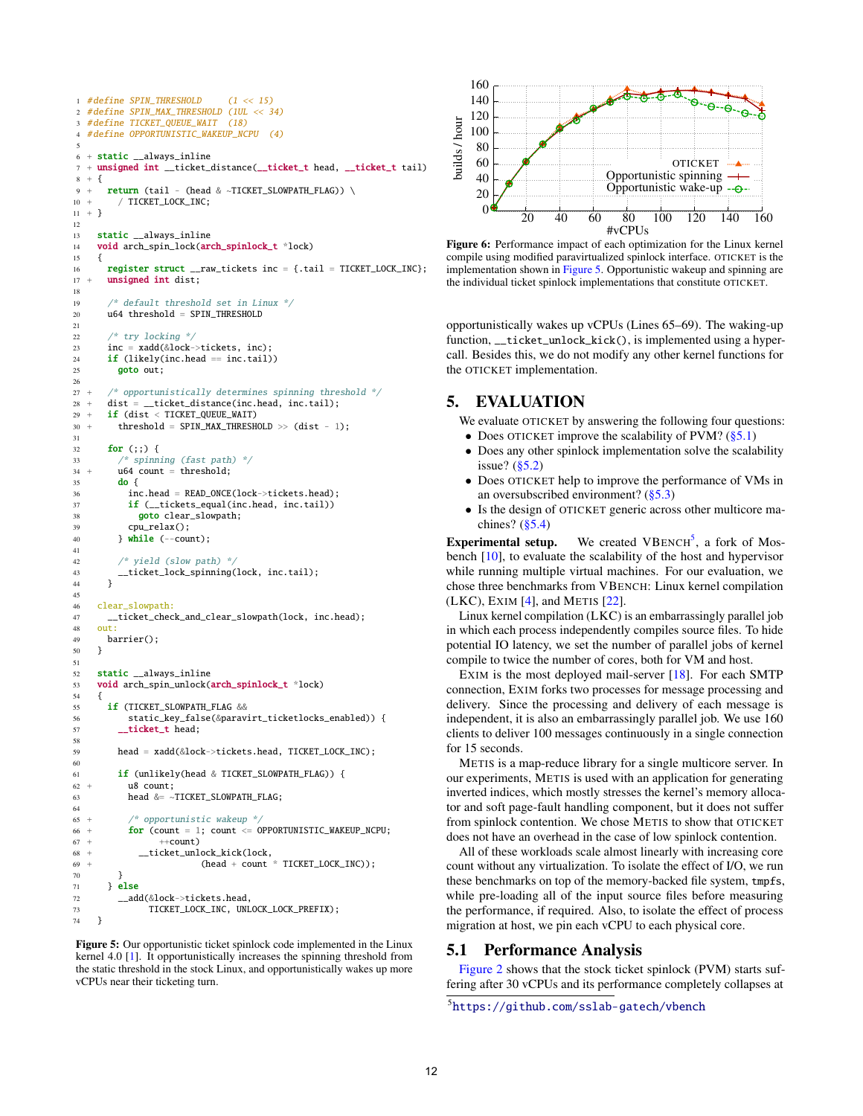```
1 #define SPIN_THRESHOLD (1 << 15)
2 #define SPIN_MAX_THRESHOLD (1UL << 34)
3 #define TICKET_QUEUE_WAIT (18)
4 #define OPPORTUNISTIC WAKEUP NCPU (4)
 5
6 + static __always_inline
7 + unsigned int __ticket_distance(__ticket_t head, __ticket_t tail)
8 + 49 + return (tail - (head & ~TICKET_SLOWPATH_FLAG)) \setminus10 + / TICKET_LOCK_INC;
11 + \}12
13 static __always_inline
14 void arch_spin_lock(arch_spinlock_t *lock)
15 {
16 register struct \text{raw}_t raw_tickets inc = {.tail = TICKET_LOCK_INC};
17 + unsigned int dist:
18
19 /* default threshold set in Linux */
20 u64 threshold = SPIN_THRESHOLD
21
22 /* try locking */
23 inc = xadd(&lock->tickets, inc);
24 if (likely(inc.head == inc.tail))
25 goto out:
26
27 + /* opportunistically determines spinning threshold */
28 + dist = __ticket_distance(inc.head, inc.tail);
29 + if (dist < TICKET_QUEUE_WAIT)
30 + threshold = SPIN_MAX_THRESHOLD >> (dist - 1);
31
32 for (;;) {
33 /* spinning (fast path) */
34 + u64 count = threshold;
35 do {
36 inc.head = READ_ONCE(lock->tickets.head);
37 if (__tickets_equal(inc.head, inc.tail))
38 goto clear_slowpath;
39 cpu_relax();
40 \qquad } while (--count);
41
42 /* yield (slow path) */<br>43 __ticket_lock_spinning()
      43 __ticket_lock_spinning(lock, inc.tail);
44 }
45
46 clear_slowpath:<br>47 ticket chec
      \_ticket\_check\_and\_clear\_slowpath(loc, inc.head);48 out:
49 barrier();
50 }
51
    static __always_inline
53 void arch_spin_unlock(arch_spinlock_t *lock)
\begin{matrix} 54 & \phantom{0} \phantom{0} \phantom{0}55 \end{matrix}55 if (TICKET_SLOWPATH_FLAG &&
56 static_key_false(&paravirt_ticketlocks_enabled)) {<br>57 ___ticket_t head;
         _ticket_t head;
58
        59 head = xadd(&lock->tickets.head, TICKET_LOCK_INC);
60
61 if (unlikely(head & TICKET_SLOWPATH_FLAG)) {
62 + u8 count;
63 head \&= ~TICKET_SLOWPATH_FLAG;
64
65 + /* opportunistic wakeup */
66 + for (count = 1; count <= OPPORTUNISTIC_WAKEUP_NCPU;
67 + +count)
68 + __ticket_unlock_kick(lock,
69 + (head + count * TICKET_LOCK_INC));
70 }
71 } else
72 __add(&lock->tickets.head,
73 TICKET_LOCK_INC, UNLOCK_LOCK_PREFIX);
74 }
```
Figure 5: Our opportunistic ticket spinlock code implemented in the Linux kernel 4.0 [1]. It opportunistically increases the spinning threshold from the static threshold in the stock Linux, and opportunistically wakes up more vCPUs near their ticketing turn.



Figure 6: Performance impact of each optimization for the Linux kernel compile using modified paravirtualized spinlock interface. OTICKET is the implementation shown in Figure 5. Opportunistic wakeup and spinning are the individual ticket spinlock implementations that constitute OTICKET.

opportunistically wakes up vCPUs (Lines 65–69). The waking-up function, \_\_ticket\_unlock\_kick(), is implemented using a hypercall. Besides this, we do not modify any other kernel functions for the OTICKET implementation.

# 5. EVALUATION

We evaluate OTICKET by answering the following four questions: • Does OTICKET improve the scalability of PVM?  $(\S 5.1)$ 

- Does any other spinlock implementation solve the scalability issue? (§5.2)
- Does OTICKET help to improve the performance of VMs in an oversubscribed environment? (§5.3)
- Is the design of OTICKET generic across other multicore machines?  $(\S5.4)$

**Experimental setup.** We created VBENCH<sup>5</sup>, a fork of Mosbench [10], to evaluate the scalability of the host and hypervisor while running multiple virtual machines. For our evaluation, we chose three benchmarks from VBENCH: Linux kernel compilation (LKC), EXIM [4], and METIS [22].

Linux kernel compilation (LKC) is an embarrassingly parallel job in which each process independently compiles source files. To hide potential IO latency, we set the number of parallel jobs of kernel compile to twice the number of cores, both for VM and host.

EXIM is the most deployed mail-server [18]. For each SMTP connection, EXIM forks two processes for message processing and delivery. Since the processing and delivery of each message is independent, it is also an embarrassingly parallel job. We use 160 clients to deliver 100 messages continuously in a single connection for 15 seconds.

METIS is a map-reduce library for a single multicore server. In our experiments, METIS is used with an application for generating inverted indices, which mostly stresses the kernel's memory allocator and soft page-fault handling component, but it does not suffer from spinlock contention. We chose METIS to show that OTICKET does not have an overhead in the case of low spinlock contention.

All of these workloads scale almost linearly with increasing core count without any virtualization. To isolate the effect of I/O, we run these benchmarks on top of the memory-backed file system, tmpfs, while pre-loading all of the input source files before measuring the performance, if required. Also, to isolate the effect of process migration at host, we pin each vCPU to each physical core.

# 5.1 Performance Analysis

Figure 2 shows that the stock ticket spinlock (PVM) starts suffering after 30 vCPUs and its performance completely collapses at

```
5
https://github.com/sslab-gatech/vbench
```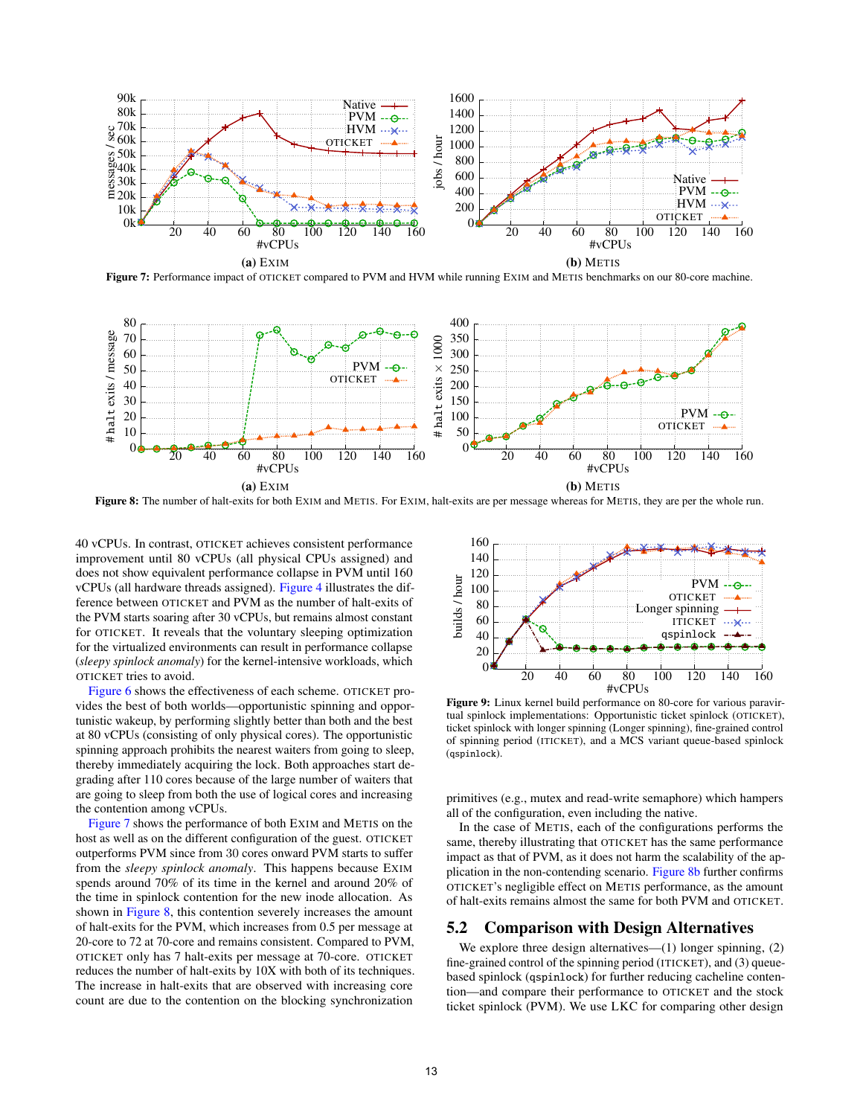

Figure 7: Performance impact of OTICKET compared to PVM and HVM while running EXIM and METIS benchmarks on our 80-core machine.



Figure 8: The number of halt-exits for both EXIM and METIS. For EXIM, halt-exits are per message whereas for METIS, they are per the whole run.

40 vCPUs. In contrast, OTICKET achieves consistent performance improvement until 80 vCPUs (all physical CPUs assigned) and does not show equivalent performance collapse in PVM until 160 vCPUs (all hardware threads assigned). Figure 4 illustrates the difference between OTICKET and PVM as the number of halt-exits of the PVM starts soaring after 30 vCPUs, but remains almost constant for OTICKET. It reveals that the voluntary sleeping optimization for the virtualized environments can result in performance collapse (*sleepy spinlock anomaly*) for the kernel-intensive workloads, which OTICKET tries to avoid.

Figure 6 shows the effectiveness of each scheme. OTICKET provides the best of both worlds—opportunistic spinning and opportunistic wakeup, by performing slightly better than both and the best at 80 vCPUs (consisting of only physical cores). The opportunistic spinning approach prohibits the nearest waiters from going to sleep, thereby immediately acquiring the lock. Both approaches start degrading after 110 cores because of the large number of waiters that are going to sleep from both the use of logical cores and increasing the contention among vCPUs.

Figure 7 shows the performance of both EXIM and METIS on the host as well as on the different configuration of the guest. OTICKET outperforms PVM since from 30 cores onward PVM starts to suffer from the *sleepy spinlock anomaly*. This happens because EXIM spends around 70% of its time in the kernel and around 20% of the time in spinlock contention for the new inode allocation. As shown in Figure 8, this contention severely increases the amount of halt-exits for the PVM, which increases from 0.5 per message at 20-core to 72 at 70-core and remains consistent. Compared to PVM, OTICKET only has 7 halt-exits per message at 70-core. OTICKET reduces the number of halt-exits by 10X with both of its techniques. The increase in halt-exits that are observed with increasing core count are due to the contention on the blocking synchronization



Figure 9: Linux kernel build performance on 80-core for various paravirtual spinlock implementations: Opportunistic ticket spinlock (OTICKET), ticket spinlock with longer spinning (Longer spinning), fine-grained control of spinning period (ITICKET), and a MCS variant queue-based spinlock (qspinlock).

primitives (e.g., mutex and read-write semaphore) which hampers all of the configuration, even including the native.

In the case of METIS, each of the configurations performs the same, thereby illustrating that OTICKET has the same performance impact as that of PVM, as it does not harm the scalability of the application in the non-contending scenario. Figure 8b further confirms OTICKET's negligible effect on METIS performance, as the amount of halt-exits remains almost the same for both PVM and OTICKET.

#### 5.2 Comparison with Design Alternatives

We explore three design alternatives—(1) longer spinning, (2) fine-grained control of the spinning period (ITICKET), and (3) queuebased spinlock (qspinlock) for further reducing cacheline contention—and compare their performance to OTICKET and the stock ticket spinlock (PVM). We use LKC for comparing other design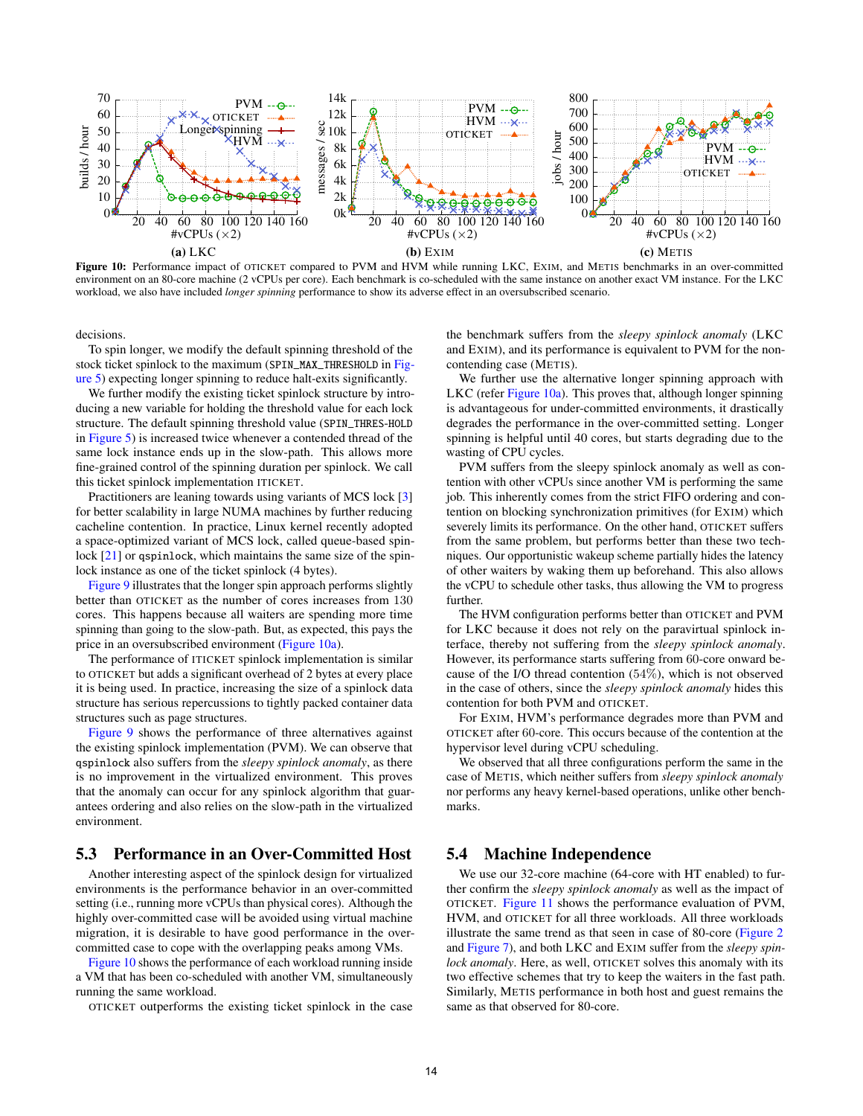

Figure 10: Performance impact of OTICKET compared to PVM and HVM while running LKC, EXIM, and METIS benchmarks in an over-committed environment on an 80-core machine (2 vCPUs per core). Each benchmark is co-scheduled with the same instance on another exact VM instance. For the LKC workload, we also have included *longer spinning* performance to show its adverse effect in an oversubscribed scenario.

decisions.

To spin longer, we modify the default spinning threshold of the stock ticket spinlock to the maximum (SPIN\_MAX\_THRESHOLD in Figure 5) expecting longer spinning to reduce halt-exits significantly.

We further modify the existing ticket spinlock structure by introducing a new variable for holding the threshold value for each lock structure. The default spinning threshold value (SPIN\_THRES-HOLD in Figure 5) is increased twice whenever a contended thread of the same lock instance ends up in the slow-path. This allows more fine-grained control of the spinning duration per spinlock. We call this ticket spinlock implementation ITICKET.

Practitioners are leaning towards using variants of MCS lock [3] for better scalability in large NUMA machines by further reducing cacheline contention. In practice, Linux kernel recently adopted a space-optimized variant of MCS lock, called queue-based spinlock [21] or qspinlock, which maintains the same size of the spinlock instance as one of the ticket spinlock (4 bytes).

Figure 9 illustrates that the longer spin approach performs slightly better than OTICKET as the number of cores increases from 130 cores. This happens because all waiters are spending more time spinning than going to the slow-path. But, as expected, this pays the price in an oversubscribed environment (Figure 10a).

The performance of ITICKET spinlock implementation is similar to OTICKET but adds a significant overhead of 2 bytes at every place it is being used. In practice, increasing the size of a spinlock data structure has serious repercussions to tightly packed container data structures such as page structures.

Figure 9 shows the performance of three alternatives against the existing spinlock implementation (PVM). We can observe that qspinlock also suffers from the *sleepy spinlock anomaly*, as there is no improvement in the virtualized environment. This proves that the anomaly can occur for any spinlock algorithm that guarantees ordering and also relies on the slow-path in the virtualized environment.

#### 5.3 Performance in an Over-Committed Host

Another interesting aspect of the spinlock design for virtualized environments is the performance behavior in an over-committed setting (i.e., running more vCPUs than physical cores). Although the highly over-committed case will be avoided using virtual machine migration, it is desirable to have good performance in the overcommitted case to cope with the overlapping peaks among VMs.

Figure 10 shows the performance of each workload running inside a VM that has been co-scheduled with another VM, simultaneously running the same workload.

OTICKET outperforms the existing ticket spinlock in the case

the benchmark suffers from the *sleepy spinlock anomaly* (LKC and EXIM), and its performance is equivalent to PVM for the noncontending case (METIS).

We further use the alternative longer spinning approach with LKC (refer Figure 10a). This proves that, although longer spinning is advantageous for under-committed environments, it drastically degrades the performance in the over-committed setting. Longer spinning is helpful until 40 cores, but starts degrading due to the wasting of CPU cycles.

PVM suffers from the sleepy spinlock anomaly as well as contention with other vCPUs since another VM is performing the same job. This inherently comes from the strict FIFO ordering and contention on blocking synchronization primitives (for EXIM) which severely limits its performance. On the other hand, OTICKET suffers from the same problem, but performs better than these two techniques. Our opportunistic wakeup scheme partially hides the latency of other waiters by waking them up beforehand. This also allows the vCPU to schedule other tasks, thus allowing the VM to progress further.

The HVM configuration performs better than OTICKET and PVM for LKC because it does not rely on the paravirtual spinlock interface, thereby not suffering from the *sleepy spinlock anomaly*. However, its performance starts suffering from 60-core onward because of the I/O thread contention (54%), which is not observed in the case of others, since the *sleepy spinlock anomaly* hides this contention for both PVM and OTICKET.

For EXIM, HVM's performance degrades more than PVM and OTICKET after 60-core. This occurs because of the contention at the hypervisor level during vCPU scheduling.

We observed that all three configurations perform the same in the case of METIS, which neither suffers from *sleepy spinlock anomaly* nor performs any heavy kernel-based operations, unlike other benchmarks.

#### 5.4 Machine Independence

We use our 32-core machine (64-core with HT enabled) to further confirm the *sleepy spinlock anomaly* as well as the impact of OTICKET. Figure 11 shows the performance evaluation of PVM, HVM, and OTICKET for all three workloads. All three workloads illustrate the same trend as that seen in case of 80-core (Figure 2 and Figure 7), and both LKC and EXIM suffer from the *sleepy spinlock anomaly*. Here, as well, OTICKET solves this anomaly with its two effective schemes that try to keep the waiters in the fast path. Similarly, METIS performance in both host and guest remains the same as that observed for 80-core.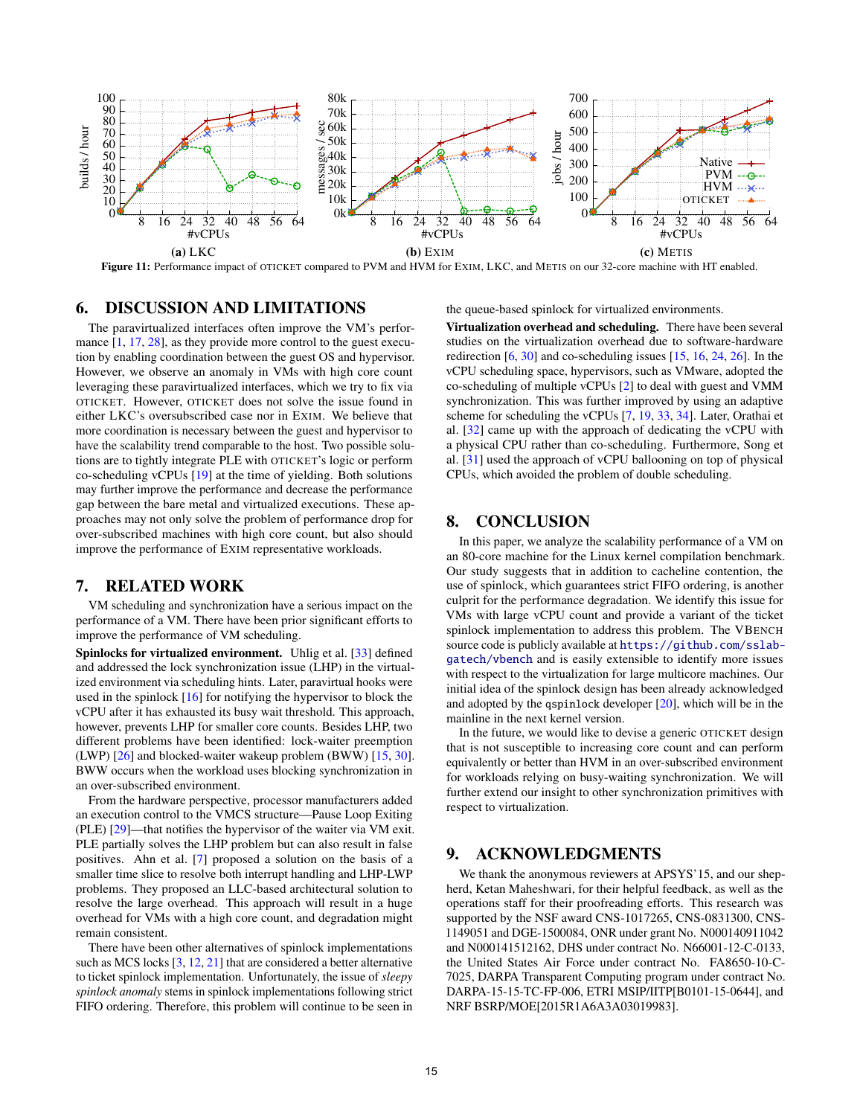

Figure 11: Performance impact of OTICKET compared to PVM and HVM for EXIM, LKC, and METIS on our 32-core machine with HT enabled.

## 6. DISCUSSION AND LIMITATIONS

The paravirtualized interfaces often improve the VM's performance [1, 17, 28], as they provide more control to the guest execution by enabling coordination between the guest OS and hypervisor. However, we observe an anomaly in VMs with high core count leveraging these paravirtualized interfaces, which we try to fix via OTICKET. However, OTICKET does not solve the issue found in either LKC's oversubscribed case nor in EXIM. We believe that more coordination is necessary between the guest and hypervisor to have the scalability trend comparable to the host. Two possible solutions are to tightly integrate PLE with OTICKET's logic or perform co-scheduling vCPUs [19] at the time of yielding. Both solutions may further improve the performance and decrease the performance gap between the bare metal and virtualized executions. These approaches may not only solve the problem of performance drop for over-subscribed machines with high core count, but also should improve the performance of EXIM representative workloads.

## 7. RELATED WORK

VM scheduling and synchronization have a serious impact on the performance of a VM. There have been prior significant efforts to improve the performance of VM scheduling.

Spinlocks for virtualized environment. Uhlig et al. [33] defined and addressed the lock synchronization issue (LHP) in the virtualized environment via scheduling hints. Later, paravirtual hooks were used in the spinlock [16] for notifying the hypervisor to block the vCPU after it has exhausted its busy wait threshold. This approach, however, prevents LHP for smaller core counts. Besides LHP, two different problems have been identified: lock-waiter preemption (LWP) [26] and blocked-waiter wakeup problem (BWW) [15, 30]. BWW occurs when the workload uses blocking synchronization in an over-subscribed environment.

From the hardware perspective, processor manufacturers added an execution control to the VMCS structure—Pause Loop Exiting (PLE) [29]—that notifies the hypervisor of the waiter via VM exit. PLE partially solves the LHP problem but can also result in false positives. Ahn et al. [7] proposed a solution on the basis of a smaller time slice to resolve both interrupt handling and LHP-LWP problems. They proposed an LLC-based architectural solution to resolve the large overhead. This approach will result in a huge overhead for VMs with a high core count, and degradation might remain consistent.

There have been other alternatives of spinlock implementations such as MCS locks  $[3, 12, 21]$  that are considered a better alternative to ticket spinlock implementation. Unfortunately, the issue of *sleepy spinlock anomaly* stems in spinlock implementations following strict FIFO ordering. Therefore, this problem will continue to be seen in

the queue-based spinlock for virtualized environments.

Virtualization overhead and scheduling. There have been several studies on the virtualization overhead due to software-hardware redirection [6, 30] and co-scheduling issues [15, 16, 24, 26]. In the vCPU scheduling space, hypervisors, such as VMware, adopted the co-scheduling of multiple vCPUs [2] to deal with guest and VMM synchronization. This was further improved by using an adaptive scheme for scheduling the vCPUs [7, 19, 33, 34]. Later, Orathai et al. [32] came up with the approach of dedicating the vCPU with a physical CPU rather than co-scheduling. Furthermore, Song et al. [31] used the approach of vCPU ballooning on top of physical CPUs, which avoided the problem of double scheduling.

# 8. CONCLUSION

In this paper, we analyze the scalability performance of a VM on an 80-core machine for the Linux kernel compilation benchmark. Our study suggests that in addition to cacheline contention, the use of spinlock, which guarantees strict FIFO ordering, is another culprit for the performance degradation. We identify this issue for VMs with large vCPU count and provide a variant of the ticket spinlock implementation to address this problem. The VBENCH source code is publicly available at [https://github.com/sslab](https://github.com/sslab-gatech/vbench)[gatech/vbench](https://github.com/sslab-gatech/vbench) and is easily extensible to identify more issues with respect to the virtualization for large multicore machines. Our initial idea of the spinlock design has been already acknowledged and adopted by the qspinlock developer [20], which will be in the mainline in the next kernel version.

In the future, we would like to devise a generic OTICKET design that is not susceptible to increasing core count and can perform equivalently or better than HVM in an over-subscribed environment for workloads relying on busy-waiting synchronization. We will further extend our insight to other synchronization primitives with respect to virtualization.

## 9. ACKNOWLEDGMENTS

We thank the anonymous reviewers at APSYS'15, and our shepherd, Ketan Maheshwari, for their helpful feedback, as well as the operations staff for their proofreading efforts. This research was supported by the NSF award CNS-1017265, CNS-0831300, CNS-1149051 and DGE-1500084, ONR under grant No. N000140911042 and N000141512162, DHS under contract No. N66001-12-C-0133, the United States Air Force under contract No. FA8650-10-C-7025, DARPA Transparent Computing program under contract No. DARPA-15-15-TC-FP-006, ETRI MSIP/IITP[B0101-15-0644], and NRF BSRP/MOE[2015R1A6A3A03019983].